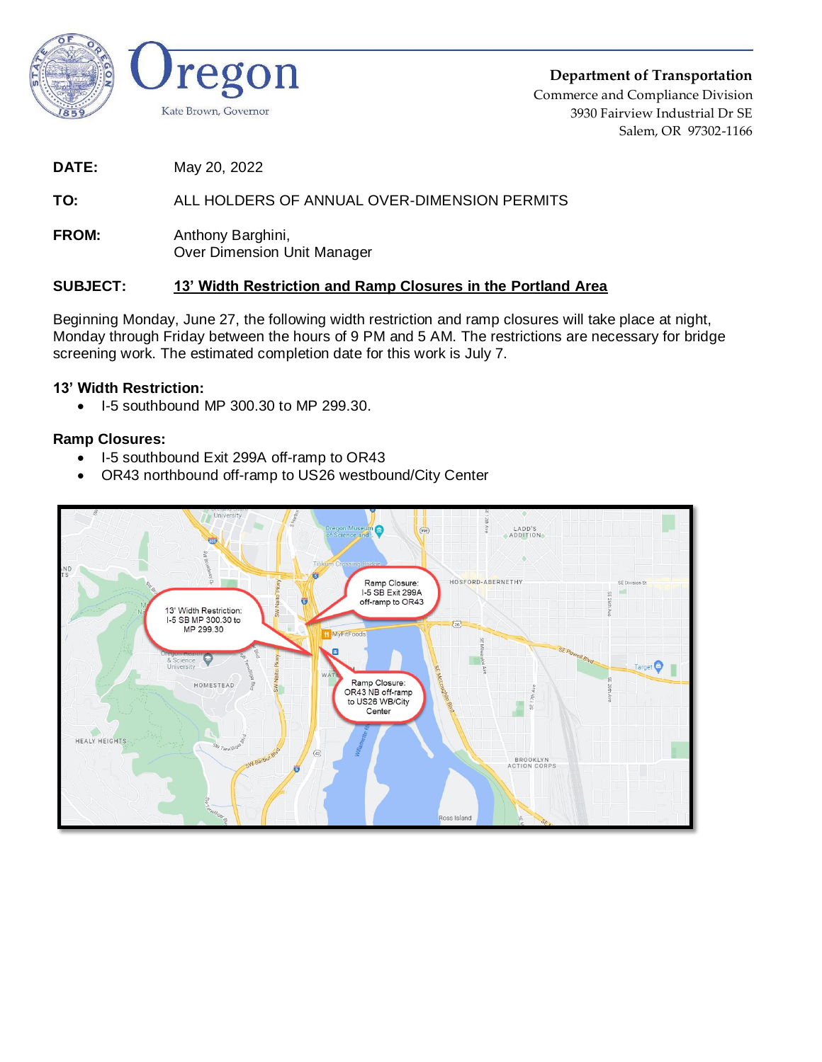

**Department of Transportation** Commerce and Compliance Division 3930 Fairview Industrial Dr SE Salem, OR 97302-1166

**DATE:** May 20, 2022

# **TO:** ALL HOLDERS OF ANNUAL OVER-DIMENSION PERMITS

**FROM:** Anthony Barghini, Over Dimension Unit Manager

## **SUBJECT: 13' Width Restriction and Ramp Closures in the Portland Area**

Beginning Monday, June 27, the following width restriction and ramp closures will take place at night, Monday through Friday between the hours of 9 PM and 5 AM. The restrictions are necessary for bridge screening work. The estimated completion date for this work is July 7.

## **13' Width Restriction:**

• I-5 southbound MP 300.30 to MP 299.30.

## **Ramp Closures:**

- I-5 southbound Exit 299A off-ramp to OR43
- OR43 northbound off-ramp to US26 westbound/City Center